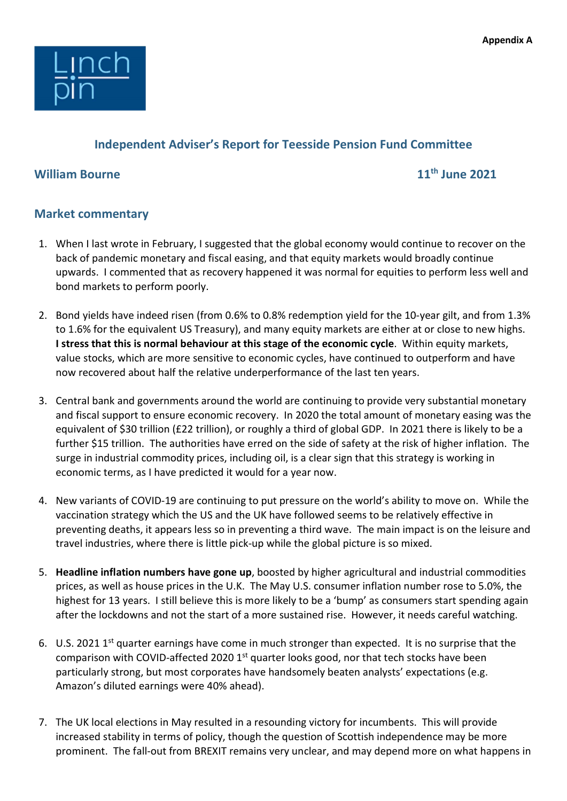

## Independent Adviser's Report for Teesside Pension Fund Committee

## William Bourne 11th June 2021

## Market commentary

- 1. When I last wrote in February, I suggested that the global economy would continue to recover on the back of pandemic monetary and fiscal easing, and that equity markets would broadly continue upwards. I commented that as recovery happened it was normal for equities to perform less well and bond markets to perform poorly.
- 2. Bond yields have indeed risen (from 0.6% to 0.8% redemption yield for the 10-year gilt, and from 1.3% to 1.6% for the equivalent US Treasury), and many equity markets are either at or close to new highs. I stress that this is normal behaviour at this stage of the economic cycle. Within equity markets, value stocks, which are more sensitive to economic cycles, have continued to outperform and have now recovered about half the relative underperformance of the last ten years.
- 3. Central bank and governments around the world are continuing to provide very substantial monetary and fiscal support to ensure economic recovery. In 2020 the total amount of monetary easing was the equivalent of \$30 trillion (£22 trillion), or roughly a third of global GDP. In 2021 there is likely to be a further \$15 trillion. The authorities have erred on the side of safety at the risk of higher inflation. The surge in industrial commodity prices, including oil, is a clear sign that this strategy is working in economic terms, as I have predicted it would for a year now.
- 4. New variants of COVID-19 are continuing to put pressure on the world's ability to move on. While the vaccination strategy which the US and the UK have followed seems to be relatively effective in preventing deaths, it appears less so in preventing a third wave. The main impact is on the leisure and travel industries, where there is little pick-up while the global picture is so mixed.
- 5. Headline inflation numbers have gone up, boosted by higher agricultural and industrial commodities prices, as well as house prices in the U.K. The May U.S. consumer inflation number rose to 5.0%, the highest for 13 years. I still believe this is more likely to be a 'bump' as consumers start spending again after the lockdowns and not the start of a more sustained rise. However, it needs careful watching.
- 6. U.S. 2021 1<sup>st</sup> quarter earnings have come in much stronger than expected. It is no surprise that the comparison with COVID-affected 2020 1<sup>st</sup> quarter looks good, nor that tech stocks have been particularly strong, but most corporates have handsomely beaten analysts' expectations (e.g. Amazon's diluted earnings were 40% ahead).
- 7. The UK local elections in May resulted in a resounding victory for incumbents. This will provide increased stability in terms of policy, though the question of Scottish independence may be more prominent. The fall-out from BREXIT remains very unclear, and may depend more on what happens in